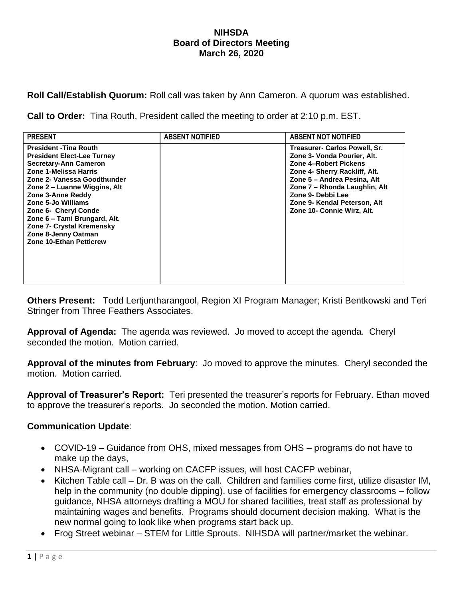#### **NIHSDA Board of Directors Meeting March 26, 2020**

**Roll Call/Establish Quorum:** Roll call was taken by Ann Cameron. A quorum was established.

**Call to Order:** Tina Routh, President called the meeting to order at 2:10 p.m. EST.

| <b>PRESENT</b>                                                                                                                                                                                                                                                                                                                                                                             | <b>ABSENT NOTIFIED</b> | <b>ABSENT NOT NOTIFIED</b>                                                                                                                                                                                                                                                |
|--------------------------------------------------------------------------------------------------------------------------------------------------------------------------------------------------------------------------------------------------------------------------------------------------------------------------------------------------------------------------------------------|------------------------|---------------------------------------------------------------------------------------------------------------------------------------------------------------------------------------------------------------------------------------------------------------------------|
| <b>President - Tina Routh</b><br><b>President Elect-Lee Turney</b><br>Secretary-Ann Cameron<br>Zone 1-Melissa Harris<br>Zone 2- Vanessa Goodthunder<br>Zone 2 – Luanne Wiggins, Alt<br>Zone 3-Anne Reddy<br>Zone 5-Jo Williams<br><b>Zone 6- Cheryl Conde</b><br>Zone 6 - Tami Brungard, Alt.<br><b>Zone 7- Crystal Kremensky</b><br>Zone 8-Jenny Oatman<br><b>Zone 10-Ethan Petticrew</b> |                        | Treasurer- Carlos Powell, Sr.<br>Zone 3- Vonda Pourier, Alt.<br>Zone 4-Robert Pickens<br>Zone 4- Sherry Rackliff, Alt.<br>Zone 5 - Andrea Pesina, Alt<br>Zone 7 - Rhonda Laughlin, Alt<br>Zone 9- Debbi Lee<br>Zone 9- Kendal Peterson, Alt<br>Zone 10- Connie Wirz, Alt. |

**Others Present:** Todd Lertjuntharangool, Region XI Program Manager; Kristi Bentkowski and Teri Stringer from Three Feathers Associates.

**Approval of Agenda:** The agenda was reviewed. Jo moved to accept the agenda. Cheryl seconded the motion. Motion carried.

**Approval of the minutes from February**: Jo moved to approve the minutes. Cheryl seconded the motion. Motion carried.

**Approval of Treasurer's Report:** Teri presented the treasurer's reports for February. Ethan moved to approve the treasurer's reports. Jo seconded the motion. Motion carried.

### **Communication Update**:

- COVID-19 Guidance from OHS, mixed messages from OHS programs do not have to make up the days,
- NHSA-Migrant call working on CACFP issues, will host CACFP webinar,
- Kitchen Table call Dr. B was on the call. Children and families come first, utilize disaster IM, help in the community (no double dipping), use of facilities for emergency classrooms – follow guidance, NHSA attorneys drafting a MOU for shared facilities, treat staff as professional by maintaining wages and benefits. Programs should document decision making. What is the new normal going to look like when programs start back up.
- Frog Street webinar STEM for Little Sprouts. NIHSDA will partner/market the webinar.